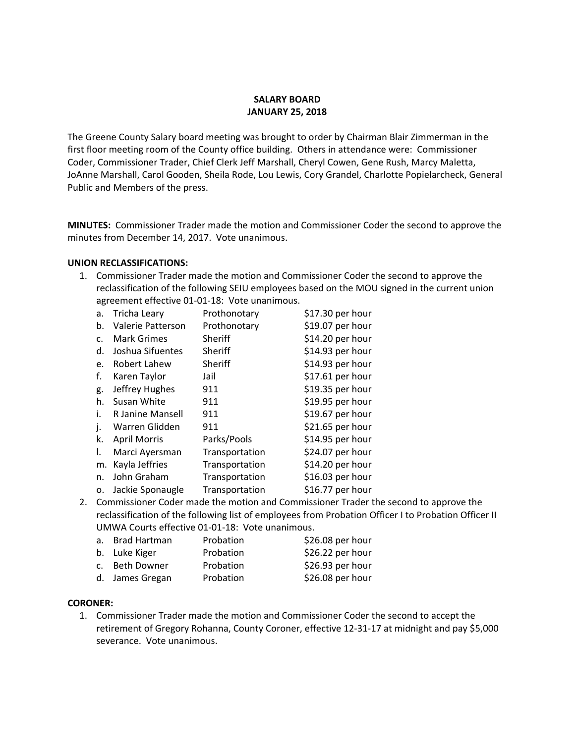#### **SALARY BOARD JANUARY 25, 2018**

The Greene County Salary board meeting was brought to order by Chairman Blair Zimmerman in the first floor meeting room of the County office building. Others in attendance were: Commissioner Coder, Commissioner Trader, Chief Clerk Jeff Marshall, Cheryl Cowen, Gene Rush, Marcy Maletta, JoAnne Marshall, Carol Gooden, Sheila Rode, Lou Lewis, Cory Grandel, Charlotte Popielarcheck, General Public and Members of the press.

**MINUTES:** Commissioner Trader made the motion and Commissioner Coder the second to approve the minutes from December 14, 2017. Vote unanimous.

#### **UNION RECLASSIFICATIONS:**

1. Commissioner Trader made the motion and Commissioner Coder the second to approve the reclassification of the following SEIU employees based on the MOU signed in the current union agreement effective 01‐01‐18: Vote unanimous.

| a. | <b>Tricha Leary</b> | Prothonotary   | \$17.30 per hour |
|----|---------------------|----------------|------------------|
| b. | Valerie Patterson   | Prothonotary   | \$19.07 per hour |
| c. | <b>Mark Grimes</b>  | Sheriff        | \$14.20 per hour |
| d. | Joshua Sifuentes    | Sheriff        | \$14.93 per hour |
| e. | Robert Lahew        | Sheriff        | \$14.93 per hour |
| f. | Karen Taylor        | Jail           | \$17.61 per hour |
| g. | Jeffrey Hughes      | 911            | \$19.35 per hour |
| h. | Susan White         | 911            | \$19.95 per hour |
| i. | R Janine Mansell    | 911            | \$19.67 per hour |
| j. | Warren Glidden      | 911            | \$21.65 per hour |
| k. | <b>April Morris</b> | Parks/Pools    | \$14.95 per hour |
| I. | Marci Ayersman      | Transportation | \$24.07 per hour |
| m. | Kayla Jeffries      | Transportation | \$14.20 per hour |
| n. | John Graham         | Transportation | \$16.03 per hour |
| 0. | Jackie Sponaugle    | Transportation | \$16.77 per hour |

2. Commissioner Coder made the motion and Commissioner Trader the second to approve the reclassification of the following list of employees from Probation Officer I to Probation Officer II UMWA Courts effective 01‐01‐18: Vote unanimous.

| a. Brad Hartman | Probation | \$26.08 per hour |
|-----------------|-----------|------------------|
| b. Luke Kiger   | Probation | \$26.22 per hour |
| c. Beth Downer  | Probation | \$26.93 per hour |
| d. James Gregan | Probation | \$26.08 per hour |

#### **CORONER:**

1. Commissioner Trader made the motion and Commissioner Coder the second to accept the retirement of Gregory Rohanna, County Coroner, effective 12‐31‐17 at midnight and pay \$5,000 severance. Vote unanimous.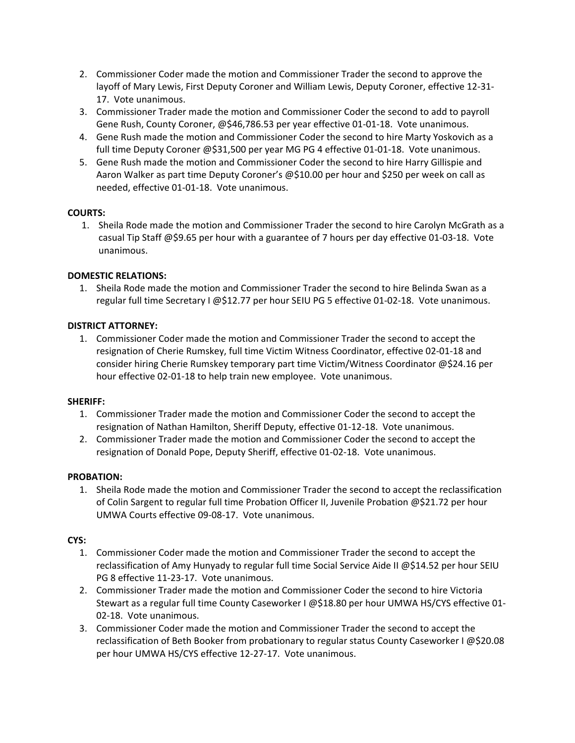- 2. Commissioner Coder made the motion and Commissioner Trader the second to approve the layoff of Mary Lewis, First Deputy Coroner and William Lewis, Deputy Coroner, effective 12‐31‐ 17. Vote unanimous.
- 3. Commissioner Trader made the motion and Commissioner Coder the second to add to payroll Gene Rush, County Coroner, @\$46,786.53 per year effective 01‐01‐18. Vote unanimous.
- 4. Gene Rush made the motion and Commissioner Coder the second to hire Marty Yoskovich as a full time Deputy Coroner @\$31,500 per year MG PG 4 effective 01‐01‐18. Vote unanimous.
- 5. Gene Rush made the motion and Commissioner Coder the second to hire Harry Gillispie and Aaron Walker as part time Deputy Coroner's @\$10.00 per hour and \$250 per week on call as needed, effective 01‐01‐18. Vote unanimous.

## **COURTS:**

1. Sheila Rode made the motion and Commissioner Trader the second to hire Carolyn McGrath as a casual Tip Staff @\$9.65 per hour with a guarantee of 7 hours per day effective 01‐03‐18. Vote unanimous.

# **DOMESTIC RELATIONS:**

1. Sheila Rode made the motion and Commissioner Trader the second to hire Belinda Swan as a regular full time Secretary I @\$12.77 per hour SEIU PG 5 effective 01‐02‐18. Vote unanimous.

# **DISTRICT ATTORNEY:**

1. Commissioner Coder made the motion and Commissioner Trader the second to accept the resignation of Cherie Rumskey, full time Victim Witness Coordinator, effective 02‐01‐18 and consider hiring Cherie Rumskey temporary part time Victim/Witness Coordinator @\$24.16 per hour effective 02‐01‐18 to help train new employee. Vote unanimous.

## **SHERIFF:**

- 1. Commissioner Trader made the motion and Commissioner Coder the second to accept the resignation of Nathan Hamilton, Sheriff Deputy, effective 01‐12‐18. Vote unanimous.
- 2. Commissioner Trader made the motion and Commissioner Coder the second to accept the resignation of Donald Pope, Deputy Sheriff, effective 01‐02‐18. Vote unanimous.

## **PROBATION:**

1. Sheila Rode made the motion and Commissioner Trader the second to accept the reclassification of Colin Sargent to regular full time Probation Officer II, Juvenile Probation @\$21.72 per hour UMWA Courts effective 09‐08‐17. Vote unanimous.

## **CYS:**

- 1. Commissioner Coder made the motion and Commissioner Trader the second to accept the reclassification of Amy Hunyady to regular full time Social Service Aide II @\$14.52 per hour SEIU PG 8 effective 11‐23‐17. Vote unanimous.
- 2. Commissioner Trader made the motion and Commissioner Coder the second to hire Victoria Stewart as a regular full time County Caseworker I @\$18.80 per hour UMWA HS/CYS effective 01‐ 02‐18. Vote unanimous.
- 3. Commissioner Coder made the motion and Commissioner Trader the second to accept the reclassification of Beth Booker from probationary to regular status County Caseworker I @\$20.08 per hour UMWA HS/CYS effective 12‐27‐17. Vote unanimous.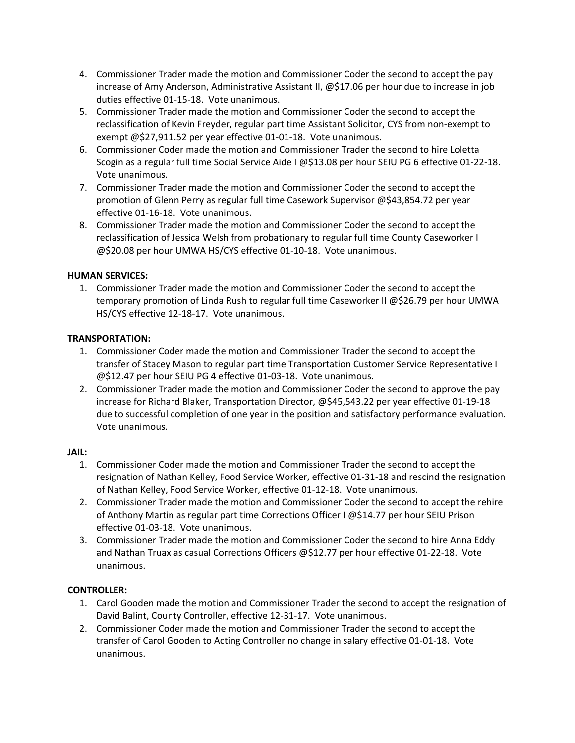- 4. Commissioner Trader made the motion and Commissioner Coder the second to accept the pay increase of Amy Anderson, Administrative Assistant II, @\$17.06 per hour due to increase in job duties effective 01‐15‐18. Vote unanimous.
- 5. Commissioner Trader made the motion and Commissioner Coder the second to accept the reclassification of Kevin Freyder, regular part time Assistant Solicitor, CYS from non‐exempt to exempt @\$27,911.52 per year effective 01‐01‐18. Vote unanimous.
- 6. Commissioner Coder made the motion and Commissioner Trader the second to hire Loletta Scogin as a regular full time Social Service Aide I @\$13.08 per hour SEIU PG 6 effective 01‐22‐18. Vote unanimous.
- 7. Commissioner Trader made the motion and Commissioner Coder the second to accept the promotion of Glenn Perry as regular full time Casework Supervisor @\$43,854.72 per year effective 01‐16‐18. Vote unanimous.
- 8. Commissioner Trader made the motion and Commissioner Coder the second to accept the reclassification of Jessica Welsh from probationary to regular full time County Caseworker I @\$20.08 per hour UMWA HS/CYS effective 01‐10‐18. Vote unanimous.

## **HUMAN SERVICES:**

1. Commissioner Trader made the motion and Commissioner Coder the second to accept the temporary promotion of Linda Rush to regular full time Caseworker II @\$26.79 per hour UMWA HS/CYS effective 12‐18‐17. Vote unanimous.

#### **TRANSPORTATION:**

- 1. Commissioner Coder made the motion and Commissioner Trader the second to accept the transfer of Stacey Mason to regular part time Transportation Customer Service Representative I @\$12.47 per hour SEIU PG 4 effective 01‐03‐18. Vote unanimous.
- 2. Commissioner Trader made the motion and Commissioner Coder the second to approve the pay increase for Richard Blaker, Transportation Director, @\$45,543.22 per year effective 01‐19‐18 due to successful completion of one year in the position and satisfactory performance evaluation. Vote unanimous.

#### **JAIL:**

- 1. Commissioner Coder made the motion and Commissioner Trader the second to accept the resignation of Nathan Kelley, Food Service Worker, effective 01‐31‐18 and rescind the resignation of Nathan Kelley, Food Service Worker, effective 01‐12‐18. Vote unanimous.
- 2. Commissioner Trader made the motion and Commissioner Coder the second to accept the rehire of Anthony Martin as regular part time Corrections Officer I @\$14.77 per hour SEIU Prison effective 01‐03‐18. Vote unanimous.
- 3. Commissioner Trader made the motion and Commissioner Coder the second to hire Anna Eddy and Nathan Truax as casual Corrections Officers @\$12.77 per hour effective 01‐22‐18. Vote unanimous.

## **CONTROLLER:**

- 1. Carol Gooden made the motion and Commissioner Trader the second to accept the resignation of David Balint, County Controller, effective 12‐31‐17. Vote unanimous.
- 2. Commissioner Coder made the motion and Commissioner Trader the second to accept the transfer of Carol Gooden to Acting Controller no change in salary effective 01‐01‐18. Vote unanimous.